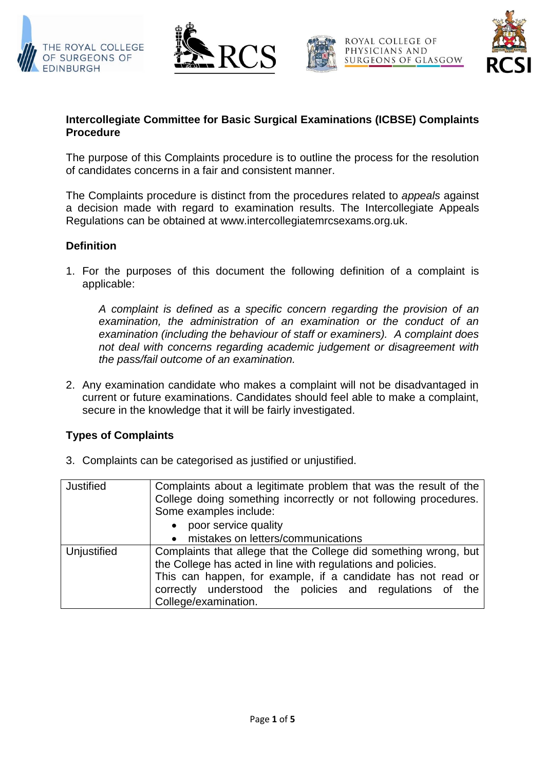





ROYAL COLLEGE OF PHYSICIANS AND SURGEONS OF GLASGOW



## **Intercollegiate Committee for Basic Surgical Examinations (ICBSE) Complaints Procedure**

The purpose of this Complaints procedure is to outline the process for the resolution of candidates concerns in a fair and consistent manner.

The Complaints procedure is distinct from the procedures related to *appeals* against a decision made with regard to examination results. The Intercollegiate Appeals Regulations can be obtained at www.intercollegiatemrcsexams.org.uk.

# **Definition**

1. For the purposes of this document the following definition of a complaint is applicable:

*A complaint is defined as a specific concern regarding the provision of an examination, the administration of an examination or the conduct of an examination (including the behaviour of staff or examiners). A complaint does not deal with concerns regarding academic judgement or disagreement with the pass/fail outcome of an examination.*

2. Any examination candidate who makes a complaint will not be disadvantaged in current or future examinations. Candidates should feel able to make a complaint, secure in the knowledge that it will be fairly investigated.

# **Types of Complaints**

3. Complaints can be categorised as justified or unjustified.

| <b>Justified</b> | Complaints about a legitimate problem that was the result of the<br>College doing something incorrectly or not following procedures.<br>Some examples include:                                                                                                                       |
|------------------|--------------------------------------------------------------------------------------------------------------------------------------------------------------------------------------------------------------------------------------------------------------------------------------|
|                  | poor service quality<br>$\bullet$                                                                                                                                                                                                                                                    |
|                  | mistakes on letters/communications<br>$\bullet$                                                                                                                                                                                                                                      |
| Unjustified      | Complaints that allege that the College did something wrong, but<br>the College has acted in line with regulations and policies.<br>This can happen, for example, if a candidate has not read or<br>correctly understood the policies and regulations of the<br>College/examination. |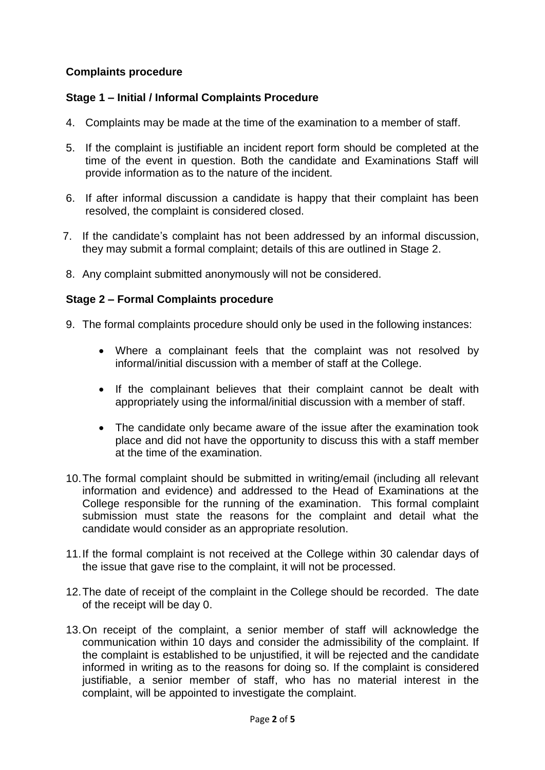## **Complaints procedure**

### **Stage 1 – Initial / Informal Complaints Procedure**

- 4. Complaints may be made at the time of the examination to a member of staff.
- 5. If the complaint is justifiable an incident report form should be completed at the time of the event in question. Both the candidate and Examinations Staff will provide information as to the nature of the incident.
- 6. If after informal discussion a candidate is happy that their complaint has been resolved, the complaint is considered closed.
- 7. If the candidate's complaint has not been addressed by an informal discussion, they may submit a formal complaint; details of this are outlined in Stage 2.
- 8. Any complaint submitted anonymously will not be considered.

#### **Stage 2 – Formal Complaints procedure**

- 9. The formal complaints procedure should only be used in the following instances:
	- Where a complainant feels that the complaint was not resolved by informal/initial discussion with a member of staff at the College.
	- If the complainant believes that their complaint cannot be dealt with appropriately using the informal/initial discussion with a member of staff.
	- The candidate only became aware of the issue after the examination took place and did not have the opportunity to discuss this with a staff member at the time of the examination.
- 10.The formal complaint should be submitted in writing/email (including all relevant information and evidence) and addressed to the Head of Examinations at the College responsible for the running of the examination. This formal complaint submission must state the reasons for the complaint and detail what the candidate would consider as an appropriate resolution.
- 11.If the formal complaint is not received at the College within 30 calendar days of the issue that gave rise to the complaint, it will not be processed.
- 12.The date of receipt of the complaint in the College should be recorded. The date of the receipt will be day 0.
- 13.On receipt of the complaint, a senior member of staff will acknowledge the communication within 10 days and consider the admissibility of the complaint. If the complaint is established to be unjustified, it will be rejected and the candidate informed in writing as to the reasons for doing so. If the complaint is considered justifiable, a senior member of staff, who has no material interest in the complaint, will be appointed to investigate the complaint.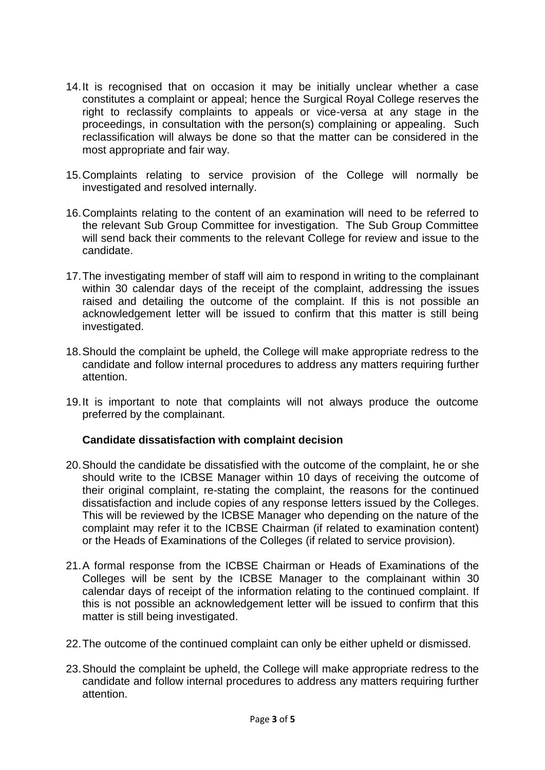- 14.It is recognised that on occasion it may be initially unclear whether a case constitutes a complaint or appeal; hence the Surgical Royal College reserves the right to reclassify complaints to appeals or vice-versa at any stage in the proceedings, in consultation with the person(s) complaining or appealing. Such reclassification will always be done so that the matter can be considered in the most appropriate and fair way.
- 15.Complaints relating to service provision of the College will normally be investigated and resolved internally.
- 16.Complaints relating to the content of an examination will need to be referred to the relevant Sub Group Committee for investigation. The Sub Group Committee will send back their comments to the relevant College for review and issue to the candidate.
- 17.The investigating member of staff will aim to respond in writing to the complainant within 30 calendar days of the receipt of the complaint, addressing the issues raised and detailing the outcome of the complaint. If this is not possible an acknowledgement letter will be issued to confirm that this matter is still being investigated.
- 18.Should the complaint be upheld, the College will make appropriate redress to the candidate and follow internal procedures to address any matters requiring further attention.
- 19.It is important to note that complaints will not always produce the outcome preferred by the complainant.

#### **Candidate dissatisfaction with complaint decision**

- 20.Should the candidate be dissatisfied with the outcome of the complaint, he or she should write to the ICBSE Manager within 10 days of receiving the outcome of their original complaint, re-stating the complaint, the reasons for the continued dissatisfaction and include copies of any response letters issued by the Colleges. This will be reviewed by the ICBSE Manager who depending on the nature of the complaint may refer it to the ICBSE Chairman (if related to examination content) or the Heads of Examinations of the Colleges (if related to service provision).
- 21.A formal response from the ICBSE Chairman or Heads of Examinations of the Colleges will be sent by the ICBSE Manager to the complainant within 30 calendar days of receipt of the information relating to the continued complaint. If this is not possible an acknowledgement letter will be issued to confirm that this matter is still being investigated.
- 22.The outcome of the continued complaint can only be either upheld or dismissed.
- 23.Should the complaint be upheld, the College will make appropriate redress to the candidate and follow internal procedures to address any matters requiring further attention.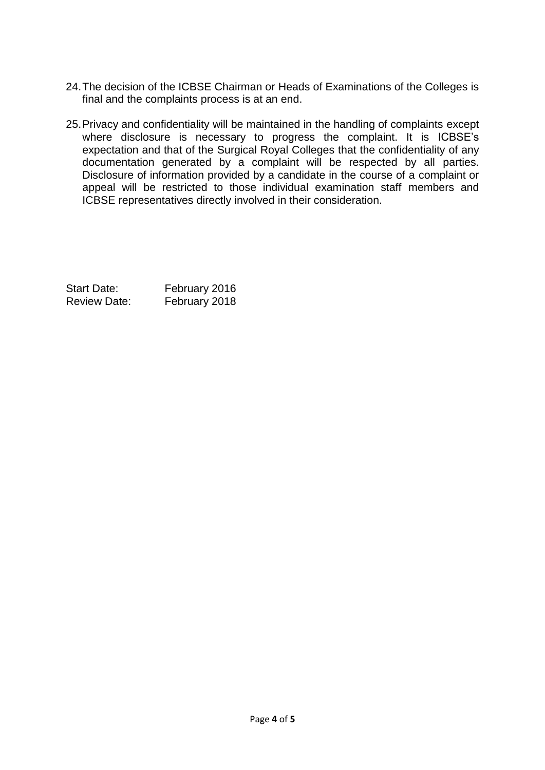- 24.The decision of the ICBSE Chairman or Heads of Examinations of the Colleges is final and the complaints process is at an end.
- 25.Privacy and confidentiality will be maintained in the handling of complaints except where disclosure is necessary to progress the complaint. It is ICBSE's expectation and that of the Surgical Royal Colleges that the confidentiality of any documentation generated by a complaint will be respected by all parties. Disclosure of information provided by a candidate in the course of a complaint or appeal will be restricted to those individual examination staff members and ICBSE representatives directly involved in their consideration.

Start Date: February 2016 Review Date: February 2018